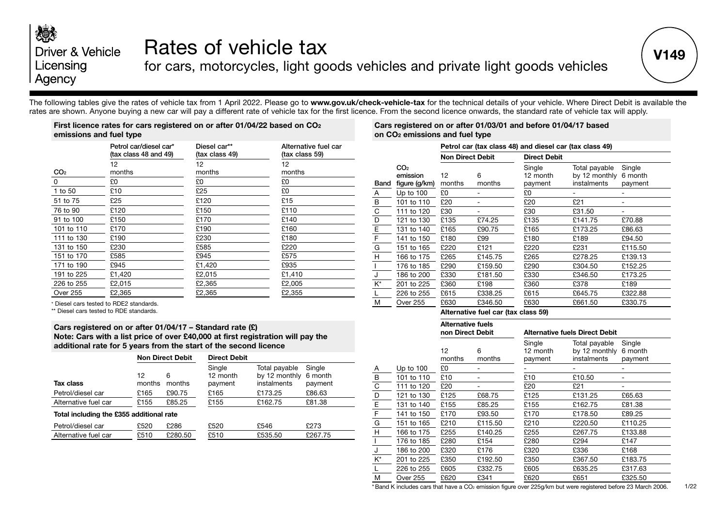## 次次 Driver & Vehicle Licensing Agency

# Rates of vehicle tax

for cars, motorcycles, light goods vehicles and private light goods vehicles

The following tables give the rates of vehicle tax from 1 April 2022. Please go to **www.gov.uk/check-vehicle-tax** for the technical details of your vehicle. Where Direct Debit is available the rates are shown. Anyone buying a new car will pay a different rate of vehicle tax for the first licence. From the second licence onwards, the standard rate of vehicle tax will apply.

#### **First licence rates for cars registered on or after 01/04/22 based on CO2 emissions and fuel type**

|                 | Petrol car/diesel car*<br>(tax class 48 and 49) | Diesel car**<br>(tax class 49) | Alternative fuel car<br>(tax class 59) |
|-----------------|-------------------------------------------------|--------------------------------|----------------------------------------|
|                 | $12 \overline{ }$                               | 12                             | 12                                     |
| CO <sub>2</sub> | months                                          | months                         | months                                 |
| 0               | £0                                              | £0                             | £0                                     |
| 1 to 50         | £10                                             | £25                            | £0                                     |
| 51 to 75        | £25                                             | £120                           | £15                                    |
| 76 to 90        | £120                                            | £150                           | £110                                   |
| 91 to 100       | £150                                            | £170                           | £140                                   |
| 101 to 110      | £170                                            | £190                           | £160                                   |
| 111 to 130      | £190                                            | £230                           | £180                                   |
| 131 to 150      | £230                                            | £585                           | £220                                   |
| 151 to 170      | £585                                            | £945                           | £575                                   |
| 171 to 190      | £945                                            | £1,420                         | £935                                   |
| 191 to 225      | £1,420                                          | £2,015                         | £1,410                                 |
| 226 to 255      | £2,015                                          | £2,365                         | £2,005                                 |
| <b>Over 255</b> | £2,365                                          | £2,365                         | £2,355                                 |

\* Diesel cars tested to RDE2 standards.

\*\* Diesel cars tested to RDE standards.

#### **Cars registered on or after 01/04/17 – Standard rate (£) Note: Cars with a list price of over £40,000 at first registration will pay the additional rate for 5 years from the start of the second licence**

|                                          |              | <b>Non Direct Debit</b> | <b>Direct Debit</b>           |                                               |                              |  |  |
|------------------------------------------|--------------|-------------------------|-------------------------------|-----------------------------------------------|------------------------------|--|--|
| Tax class                                | 12<br>months | 6<br>months             | Single<br>12 month<br>payment | Total payable<br>by 12 monthly<br>instalments | Single<br>6 month<br>payment |  |  |
| Petrol/diesel car                        | £165         | £90.75                  | £165                          | £173.25                                       | £86.63                       |  |  |
| Alternative fuel car                     | £155         | £85.25                  | £155                          | £162.75                                       | £81.38                       |  |  |
| Total including the £355 additional rate |              |                         |                               |                                               |                              |  |  |
| Petrol/diesel car                        | £520         | £286                    | £520                          | £546                                          | £273                         |  |  |
| Alternative fuel car                     | £510         | £280.50                 | £510                          | £535.50                                       | £267.75                      |  |  |

#### **Cars registered on or after 01/03/01 and before 01/04/17 based on CO2 emissions and fuel type**

|      |                                              | Petrol car (tax class 48) and diesel car (tax class 49) |                                 |                               |                                               |                              |  |  |
|------|----------------------------------------------|---------------------------------------------------------|---------------------------------|-------------------------------|-----------------------------------------------|------------------------------|--|--|
|      |                                              | <b>Non Direct Debit</b>                                 |                                 | <b>Direct Debit</b>           |                                               |                              |  |  |
| Band | CO <sub>2</sub><br>emission<br>figure (g/km) | 12<br>months                                            | 6<br>months                     | Single<br>12 month<br>payment | Total payable<br>by 12 monthly<br>instalments | Single<br>6 month<br>payment |  |  |
| Α    | Up to $100$                                  | £0                                                      |                                 | £0                            |                                               |                              |  |  |
| В    | 101 to 110                                   | £20                                                     |                                 | £20                           | £21                                           |                              |  |  |
| C    | 111 to 120                                   | £30                                                     |                                 | £30                           | £31.50                                        |                              |  |  |
| D    | 121 to 130                                   | £135                                                    | £74.25                          | £135                          | £141.75                                       | £70.88                       |  |  |
| Ε    | 131 to 140                                   | £165                                                    | £90.75                          | £165                          | £173.25                                       | £86.63                       |  |  |
| F    | 141 to 150                                   | £180                                                    | £99                             | £180                          | £189                                          | £94.50                       |  |  |
| G    | 151 to 165                                   | £220                                                    | £121                            | £220                          | £231                                          | £115.50                      |  |  |
| н    | 166 to 175                                   | £265                                                    | £145.75                         | £265                          | £278.25                                       | £139.13                      |  |  |
|      | 176 to 185                                   | £290                                                    | £159.50                         | £290                          | £304.50                                       | £152.25                      |  |  |
| J    | 186 to 200                                   | £330                                                    | £181.50                         | £330                          | £346.50                                       | £173.25                      |  |  |
| K*   | 201 to 225                                   | £360                                                    | £198                            | £360                          | £378                                          | £189                         |  |  |
| L    | 226 to 255                                   | £615                                                    | £338.25                         | £615                          | £645.75                                       | £322.88                      |  |  |
| М    | <b>Over 255</b>                              | £630                                                    | £346.50                         | £630                          | £661.50                                       | £330.75                      |  |  |
|      |                                              | .                                                       | $\overline{\phantom{a}}$<br>. . | $-$                           |                                               |                              |  |  |

#### **Alternative fuel car (tax class 59)**

|    |                 | <b>Alternative fuels</b><br>non Direct Debit |             |                               | <b>Alternative fuels Direct Debit</b>         |                              |  |  |  |
|----|-----------------|----------------------------------------------|-------------|-------------------------------|-----------------------------------------------|------------------------------|--|--|--|
|    |                 | $12 \overline{ }$<br>months                  | 6<br>months | Single<br>12 month<br>payment | Total payable<br>by 12 monthly<br>instalments | Single<br>6 month<br>payment |  |  |  |
| A  | Up to $100$     | £0.                                          |             |                               |                                               |                              |  |  |  |
| В  | 101 to 110      | £10                                          |             | £10                           | £10.50                                        |                              |  |  |  |
| C  | 111 to 120      | £20                                          |             | £20                           | £21                                           |                              |  |  |  |
| D  | 121 to 130      | £125                                         | £68.75      | £125                          | £131.25                                       | £65.63                       |  |  |  |
| E  | 131 to 140      | £155                                         | £85.25      | £155                          | £162.75                                       | £81.38                       |  |  |  |
| F  | 141 to 150      | £170                                         | £93.50      | £170                          | £178.50                                       | £89.25                       |  |  |  |
| G  | 151 to 165      | £210                                         | £115.50     | £210                          | £220.50                                       | £110.25                      |  |  |  |
| H  | 166 to 175      | £255                                         | £140.25     | £255                          | £267.75                                       | £133.88                      |  |  |  |
|    | 176 to 185      | £280                                         | £154        | £280                          | £294                                          | £147                         |  |  |  |
| J  | 186 to 200      | £320                                         | £176        | £320                          | £336                                          | £168                         |  |  |  |
| K* | 201 to 225      | £350                                         | £192.50     | £350                          | £367.50                                       | £183.75                      |  |  |  |
| L  | 226 to 255      | £605                                         | £332.75     | £605                          | £635.25                                       | £317.63                      |  |  |  |
| М  | <b>Over 255</b> | £620                                         | £341        | £620                          | £651                                          | £325.50                      |  |  |  |